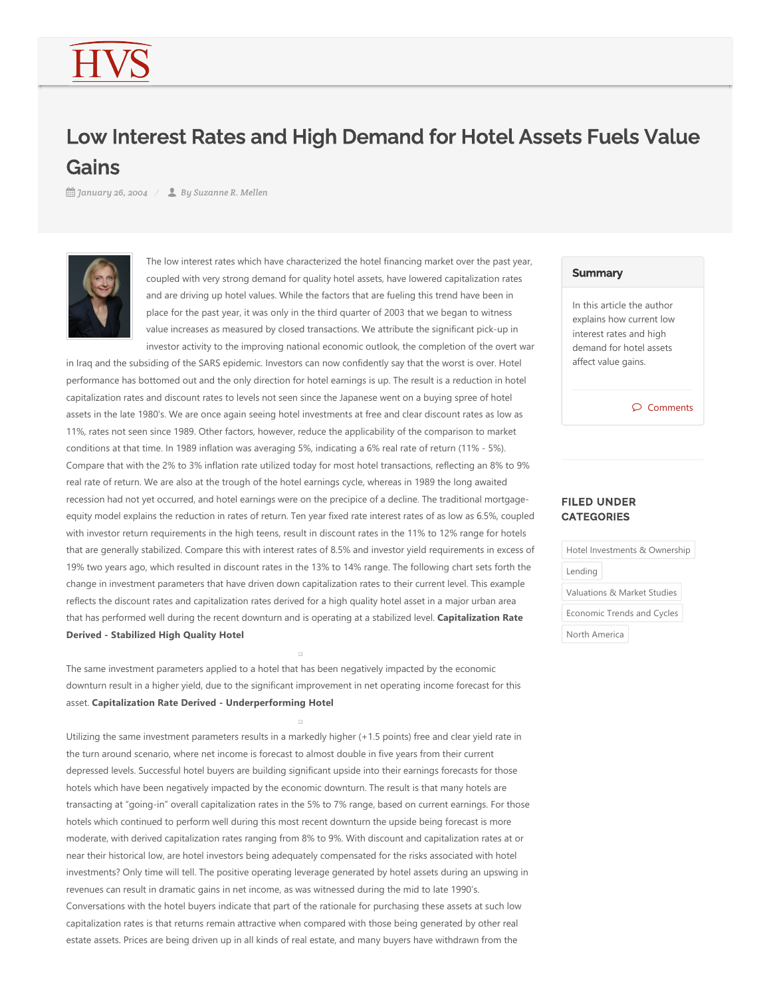## Low Interest Rates and High Demand for Hotel Assets Fuels Value **Gains**

*January 26, 2004 By Suzanne R. Mellen*



The low interest rates which have characterized the hotel financing market over the past year, coupled with very strong demand for quality hotel assets, have lowered capitalization rates and are driving up hotel values. While the factors that are fueling this trend have been in place for the past year, it was only in the third quarter of 2003 that we began to witness value increases as measured by closed transactions. We attribute the significant pick‐up in investor activity to the improving national economic outlook, the completion of the overt war

in Iraq and the subsiding of the SARS epidemic. Investors can now confidently say that the worst is over. Hotel performance has bottomed out and the only direction for hotel earnings is up. The result is a reduction in hotel capitalization rates and discount rates to levels not seen since the Japanese went on a buying spree of hotel assets in the late 1980's. We are once again seeing hotel investments at free and clear discount rates as low as 11%, rates not seen since 1989. Other factors, however, reduce the applicability of the comparison to market conditions at that time. In 1989 inflation was averaging 5%, indicating a 6% real rate of return (11% - 5%). Compare that with the 2% to 3% inflation rate utilized today for most hotel transactions, reflecting an 8% to 9% real rate of return. We are also at the trough of the hotel earnings cycle, whereas in 1989 the long awaited recession had not yet occurred, and hotel earnings were on the precipice of a decline. The traditional mortgageequity model explains the reduction in rates of return. Ten year fixed rate interest rates of as low as 6.5%, coupled with investor return requirements in the high teens, result in discount rates in the 11% to 12% range for hotels that are generally stabilized. Compare this with interest rates of 8.5% and investor yield requirements in excess of 19% two years ago, which resulted in discount rates in the 13% to 14% range. The following chart sets forth the change in investment parameters that have driven down capitalization rates to their current level. This example reflects the discount rates and capitalization rates derived for a high quality hotel asset in a major urban area that has performed well during the recent downturn and is operating at a stabilized level. **Capitalization Rate Derived ‐ Stabilized High Quality Hotel**

The same investment parameters applied to a hotel that has been negatively impacted by the economic downturn result in a higher yield, due to the significant improvement in net operating income forecast for this asset. **Capitalization Rate Derived ‐ Underperforming Hotel**

Utilizing the same investment parameters results in a markedly higher (+1.5 points) free and clear yield rate in the turn around scenario, where net income is forecast to almost double in five years from their current depressed levels. Successful hotel buyers are building significant upside into their earnings forecasts for those hotels which have been negatively impacted by the economic downturn. The result is that many hotels are transacting at "going‐in" overall capitalization rates in the 5% to 7% range, based on current earnings. For those hotels which continued to perform well during this most recent downturn the upside being forecast is more moderate, with derived capitalization rates ranging from 8% to 9%. With discount and capitalization rates at or near their historical low, are hotel investors being adequately compensated for the risks associated with hotel investments? Only time will tell. The positive operating leverage generated by hotel assets during an upswing in revenues can result in dramatic gains in net income, as was witnessed during the mid to late 1990's. Conversations with the hotel buyers indicate that part of the rationale for purchasing these assets at such low capitalization rates is that returns remain attractive when compared with those being generated by other real estate assets. Prices are being driven up in all kinds of real estate, and many buyers have withdrawn from the

## **Summary**

In this article the author explains how current low interest rates and high demand for hotel assets affect value gains.

Comments

## FILED UNDER **CATEGORIES**

| Hotel Investments & Ownership |  |
|-------------------------------|--|
| Lending                       |  |
| Valuations & Market Studies   |  |
| Economic Trends and Cycles    |  |
| North America                 |  |